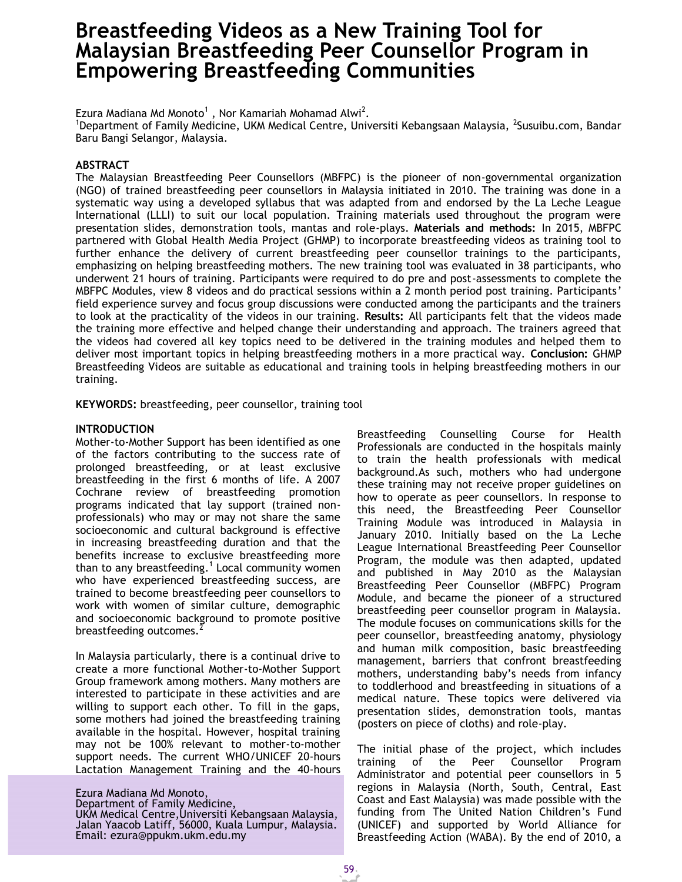# **Breastfeeding Videos as a New Training Tool for Malaysian Breastfeeding Peer Counsellor Program in Empowering Breastfeeding Communities**

Ezura Madiana Md Monoto<sup>1</sup>, Nor Kamariah Mohamad Alwi<sup>2</sup>.

<sup>1</sup>Department of Family Medicine, UKM Medical Centre, Universiti Kebangsaan Malaysia, <sup>2</sup>Susuibu.com, Bandar Baru Bangi Selangor, Malaysia.

# **ABSTRACT**

The Malaysian Breastfeeding Peer Counsellors (MBFPC) is the pioneer of non-governmental organization (NGO) of trained breastfeeding peer counsellors in Malaysia initiated in 2010. The training was done in a systematic way using a developed syllabus that was adapted from and endorsed by the La Leche League International (LLLI) to suit our local population. Training materials used throughout the program were presentation slides, demonstration tools, mantas and role-plays. **Materials and methods:** In 2015, MBFPC partnered with Global Health Media Project (GHMP) to incorporate breastfeeding videos as training tool to further enhance the delivery of current breastfeeding peer counsellor trainings to the participants, emphasizing on helping breastfeeding mothers. The new training tool was evaluated in 38 participants, who underwent 21 hours of training. Participants were required to do pre and post-assessments to complete the MBFPC Modules, view 8 videos and do practical sessions within a 2 month period post training. Participants' field experience survey and focus group discussions were conducted among the participants and the trainers to look at the practicality of the videos in our training. **Results:** All participants felt that the videos made the training more effective and helped change their understanding and approach. The trainers agreed that the videos had covered all key topics need to be delivered in the training modules and helped them to deliver most important topics in helping breastfeeding mothers in a more practical way. **Conclusion:** GHMP Breastfeeding Videos are suitable as educational and training tools in helping breastfeeding mothers in our training.

**KEYWORDS:** breastfeeding, peer counsellor, training tool

### **INTRODUCTION**

Mother-to-Mother Support has been identified as one of the factors contributing to the success rate of prolonged breastfeeding, or at least exclusive breastfeeding in the first 6 months of life. A 2007 Cochrane review of breastfeeding promotion programs indicated that lay support (trained nonprofessionals) who may or may not share the same socioeconomic and cultural background is effective in increasing breastfeeding duration and that the benefits increase to exclusive breastfeeding more than to any breastfeeding.<sup>1</sup> Local community women who have experienced breastfeeding success, are trained to become breastfeeding peer counsellors to work with women of similar culture, demographic and socioeconomic background to promote positive breastfeeding outcomes.

In Malaysia particularly, there is a continual drive to create a more functional Mother-to-Mother Support Group framework among mothers. Many mothers are interested to participate in these activities and are willing to support each other. To fill in the gaps, some mothers had joined the breastfeeding training available in the hospital. However, hospital training may not be 100% relevant to mother-to-mother support needs. The current WHO/UNICEF 20-hours Lactation Management Training and the 40-hours

Ezura Madiana Md Monoto, Department of Family Medicine, UKM Medical Centre,Universiti Kebangsaan Malaysia, Jalan Yaacob Latiff, 56000, Kuala Lumpur, Malaysia. Email: [ezura@ppukm.ukm.edu.my](mailto:ezura@ppukm.ukm.edu.my)

Breastfeeding Counselling Course for Health Professionals are conducted in the hospitals mainly to train the health professionals with medical background.As such, mothers who had undergone these training may not receive proper guidelines on how to operate as peer counsellors. In response to this need, the Breastfeeding Peer Counsellor Training Module was introduced in Malaysia in January 2010. Initially based on the La Leche League International Breastfeeding Peer Counsellor Program, the module was then adapted, updated and published in May 2010 as the Malaysian Breastfeeding Peer Counsellor (MBFPC) Program Module, and became the pioneer of a structured breastfeeding peer counsellor program in Malaysia. The module focuses on communications skills for the peer counsellor, breastfeeding anatomy, physiology and human milk composition, basic breastfeeding management, barriers that confront breastfeeding mothers, understanding baby's needs from infancy to toddlerhood and breastfeeding in situations of a medical nature. These topics were delivered via presentation slides, demonstration tools, mantas (posters on piece of cloths) and role-play.

The initial phase of the project, which includes training of the Peer Counsellor Program Administrator and potential peer counsellors in 5 regions in Malaysia (North, South, Central, East Coast and East Malaysia) was made possible with the funding from The United Nation Children's Fund (UNICEF) and supported by World Alliance for Breastfeeding Action (WABA). By the end of 2010, a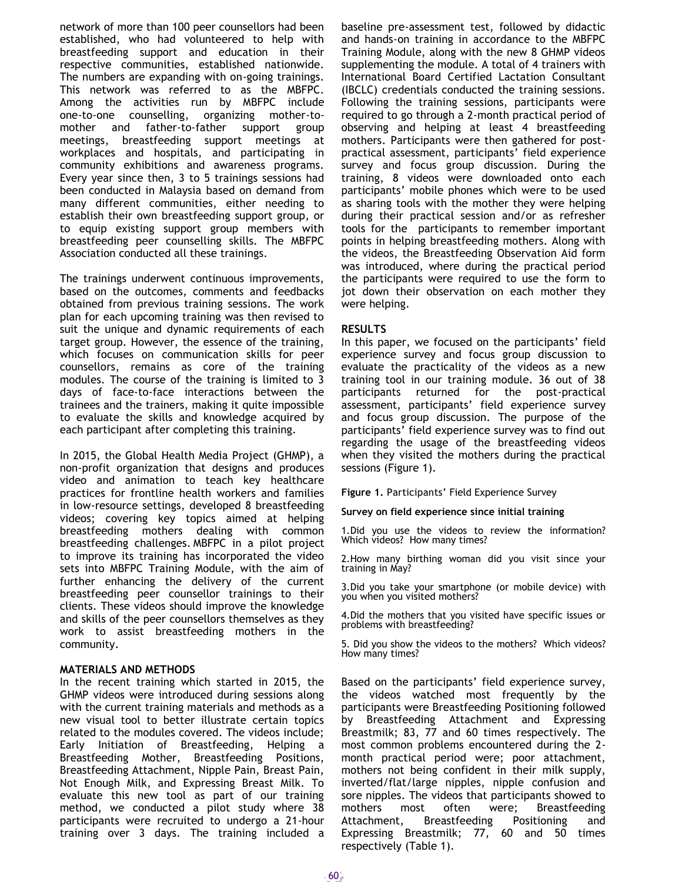network of more than 100 peer counsellors had been established, who had volunteered to help with breastfeeding support and education in their respective communities, established nationwide. The numbers are expanding with on-going trainings. This network was referred to as the MBFPC. Among the activities run by MBFPC include one-to-one counselling, organizing mother-tomother and father-to-father support group meetings, breastfeeding support meetings at workplaces and hospitals, and participating in community exhibitions and awareness programs. Every year since then, 3 to 5 trainings sessions had been conducted in Malaysia based on demand from many different communities, either needing to establish their own breastfeeding support group, or to equip existing support group members with breastfeeding peer counselling skills. The MBFPC Association conducted all these trainings.

The trainings underwent continuous improvements, based on the outcomes, comments and feedbacks obtained from previous training sessions. The work plan for each upcoming training was then revised to suit the unique and dynamic requirements of each target group. However, the essence of the training, which focuses on communication skills for peer counsellors, remains as core of the training modules. The course of the training is limited to 3 days of face-to-face interactions between the trainees and the trainers, making it quite impossible to evaluate the skills and knowledge acquired by each participant after completing this training.

In 2015, the Global Health Media Project (GHMP), a non-profit organization that designs and produces video and animation to teach key healthcare practices for frontline health workers and families in low-resource settings, developed 8 breastfeeding videos; covering key topics aimed at helping breastfeeding mothers dealing with common breastfeeding challenges. MBFPC in a pilot project to improve its training has incorporated the video sets into MBFPC Training Module, with the aim of further enhancing the delivery of the current breastfeeding peer counsellor trainings to their clients. These videos should improve the knowledge and skills of the peer counsellors themselves as they work to assist breastfeeding mothers in the community.

#### **MATERIALS AND METHODS**

In the recent training which started in 2015, the GHMP videos were introduced during sessions along with the current training materials and methods as a new visual tool to better illustrate certain topics related to the modules covered. The videos include; Early Initiation of Breastfeeding, Helping a Breastfeeding Mother, Breastfeeding Positions, Breastfeeding Attachment, Nipple Pain, Breast Pain, Not Enough Milk, and Expressing Breast Milk. To evaluate this new tool as part of our training method, we conducted a pilot study where 38 participants were recruited to undergo a 21-hour training over 3 days. The training included a

baseline pre-assessment test, followed by didactic and hands-on training in accordance to the MBFPC Training Module, along with the new 8 GHMP videos supplementing the module. A total of 4 trainers with International Board Certified Lactation Consultant (IBCLC) credentials conducted the training sessions. Following the training sessions, participants were required to go through a 2-month practical period of observing and helping at least 4 breastfeeding mothers. Participants were then gathered for postpractical assessment, participants' field experience survey and focus group discussion. During the training, 8 videos were downloaded onto each participants' mobile phones which were to be used as sharing tools with the mother they were helping during their practical session and/or as refresher tools for the participants to remember important points in helping breastfeeding mothers. Along with the videos, the Breastfeeding Observation Aid form was introduced, where during the practical period the participants were required to use the form to jot down their observation on each mother they were helping.

### **RESULTS**

In this paper, we focused on the participants' field experience survey and focus group discussion to evaluate the practicality of the videos as a new training tool in our training module. 36 out of 38 participants returned for the post-practical assessment, participants' field experience survey and focus group discussion. The purpose of the participants' field experience survey was to find out regarding the usage of the breastfeeding videos when they visited the mothers during the practical sessions (Figure 1).

**Figure 1.** Participants' Field Experience Survey

**Survey on field experience since initial training**

1.Did you use the videos to review the information? Which videos? How many times?

2.How many birthing woman did you visit since your training in May?

3.Did you take your smartphone (or mobile device) with you when you visited mothers?

4.Did the mothers that you visited have specific issues or problems with breastfeeding?

5. Did you show the videos to the mothers? Which videos? How many times?

Based on the participants' field experience survey, the videos watched most frequently by the participants were Breastfeeding Positioning followed by Breastfeeding Attachment and Expressing Breastmilk; 83, 77 and 60 times respectively. The most common problems encountered during the 2 month practical period were; poor attachment, mothers not being confident in their milk supply, inverted/flat/large nipples, nipple confusion and sore nipples. The videos that participants showed to mothers most often were; Breastfeeding Attachment, Breastfeeding Positioning and Expressing Breastmilk; 77, 60 and 50 times respectively (Table 1).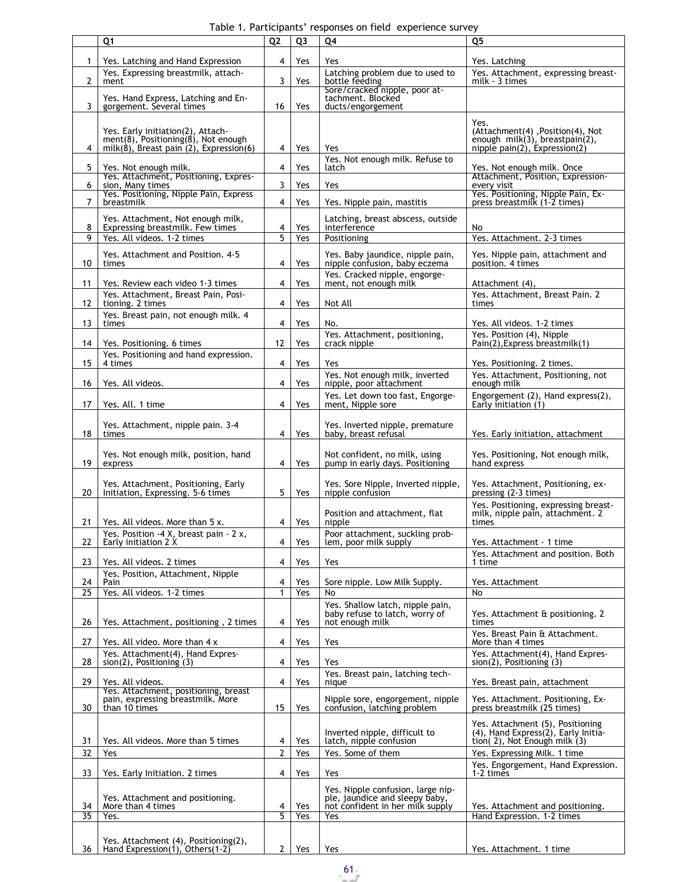Table 1. Participants' responses on field experience survey

|    | Q <sub>1</sub>                                            | Q <sub>2</sub> | Q <sub>3</sub> | Q4                                                      | Q <sub>5</sub>                                   |
|----|-----------------------------------------------------------|----------------|----------------|---------------------------------------------------------|--------------------------------------------------|
|    |                                                           |                |                |                                                         |                                                  |
| 1  | Yes. Latching and Hand Expression                         | 4              | Yes            | Yes                                                     | Yes. Latching                                    |
|    | Yes. Expressing breastmilk, attach-                       | 3              |                | Latching problem due to used to                         | Yes. Attachment, expressing breast-              |
| 2  | ment                                                      |                | Yes            | bottle feeding<br>Sore/cracked nipple, poor at-         | milk - 3 times                                   |
|    | Yes. Hand Express, Latching and En-                       |                |                | tachment. Blocked                                       |                                                  |
| 3  | gorgement. Several times                                  | 16             | Yes            | ducts/engorgement                                       |                                                  |
|    |                                                           |                |                |                                                         | Yes.                                             |
|    | Yes. Early initiation(2), Attach-                         |                |                |                                                         | (Attachment(4), Position(4), Not                 |
|    | $ment(8)$ , Positioning $(8)$ , Not enough                |                |                |                                                         | enough $milk(3)$ , breastpain(2),                |
| 4  | milk $(8)$ , Breast pain $(2)$ , Expression $(6)$         | 4              | Yes            | Yes                                                     | nipple pain(2), Expression(2)                    |
|    |                                                           |                |                | Yes. Not enough milk. Refuse to                         |                                                  |
| 5  | Yes. Not enough milk.                                     | 4              | Yes            | latch                                                   | Yes. Not enough milk. Once                       |
| 6  | Yes. Attachment, Positioning, Expres-<br>sion, Many times | 3              | Yes            | Yes                                                     | Attachment, Position, Expression-<br>every visit |
|    | Yes. Positioning, Nipple Pain, Express                    |                |                |                                                         | Yes. Positioning, Nipple Pain, Ex-               |
| 7  | breastmilk                                                | 4              | Yes            | Yes. Nipple pain, mastitis                              | press breastmilk (1-2 times)                     |
|    | Yes. Attachment, Not enough milk,                         |                |                | Latching, breast abscess, outside                       |                                                  |
| 8  | Expressing breastmilk. Few times                          | 4              | Yes            | interference                                            | No                                               |
| 9  | Yes. All videos. 1-2 times                                | 5              | Yes            | Positioning                                             | Yes. Attachment. 2-3 times                       |
|    |                                                           |                |                |                                                         |                                                  |
|    | Yes. Attachment and Position. 4-5                         |                |                | Yes. Baby jaundice, nipple pain,                        | Yes. Nipple pain, attachment and                 |
| 10 | times                                                     | 4              | Yes            | nipple confusion, baby eczema                           | position. 4 times                                |
| 11 |                                                           | 4              | Yes            | Yes. Cracked nipple, engorge-<br>ment, not enough milk  |                                                  |
|    | Yes. Review each video 1-3 times                          |                |                |                                                         | Attachment (4),                                  |
| 12 | Yes. Attachment, Breast Pain, Posi-<br>tioning. 2 times   | 4              | Yes            | Not All                                                 | Yes. Attachment, Breast Pain. 2<br>times         |
|    | Yes. Breast pain, not enough milk. 4                      |                |                |                                                         |                                                  |
| 13 | times                                                     | 4              | Yes            | No.                                                     | Yes. All videos. 1-2 times                       |
|    |                                                           |                |                | Yes. Attachment, positioning,                           | Yes. Position (4), Nipple                        |
| 14 | Yes. Positioning. 6 times                                 | 12             | Yes            | crack nipple                                            | Pain(2), Express breastmilk(1)                   |
|    | Yes. Positioning and hand expression.                     |                |                |                                                         |                                                  |
| 15 | 4 times                                                   | 4              | Yes            | Yes                                                     | Yes. Positioning. 2 times.                       |
|    |                                                           |                |                | Yes. Not enough milk, inverted                          | Yes. Attachment, Positioning, not                |
| 16 | Yes. All videos.                                          | 4              | Yes            | nipple, poor attachment                                 | enough milk                                      |
|    |                                                           |                |                | Yes. Let down too fast, Engorge-                        | Engorgement (2), Hand express(2),                |
| 17 | Yes. All. 1 time                                          | 4              | Yes            | ment, Nipple sore                                       | Early initiation (1)                             |
|    |                                                           |                |                |                                                         |                                                  |
| 18 | Yes. Attachment, nipple pain. 3-4<br>times                | 4              | Yes            | Yes. Inverted nipple, premature<br>baby, breast refusal |                                                  |
|    |                                                           |                |                |                                                         | Yes. Early initiation, attachment                |
|    | Yes. Not enough milk, position, hand                      |                |                | Not confident, no milk, using                           | Yes. Positioning, Not enough milk,               |
| 19 | express                                                   | 4              | Yes            | pump in early days. Positioning                         | hand express                                     |
|    |                                                           |                |                |                                                         |                                                  |
|    | Yes. Attachment, Positioning, Early                       |                |                | Yes. Sore Nipple, Inverted nipple,                      | Yes. Attachment, Positioning, ex-                |
| 20 | Initiation, Expressing. 5-6 times                         | 5              | Yes            | nipple confusion                                        | pressing (2-3 times)                             |
|    |                                                           |                |                |                                                         | Yes. Positioning, expressing breast-             |
|    |                                                           |                |                | Position and attachment, flat                           | milk, nipple pain, attachment. 2                 |
| 21 | Yes. All videos. More than 5 x.                           | 4              | Yes            | nipple                                                  | times                                            |
|    | Yes. Position -4 X, breast pain - 2 x,                    |                |                | Poor attachment, suckling prob-                         |                                                  |
| 22 | Early initiation 2 X                                      | 4              | Yes            | lem, poor milk supply                                   | Yes. Attachment - 1 time                         |
| 23 | Yes. All videos. 2 times                                  | 4              | Yes            | Yes                                                     | Yes. Attachment and position. Both<br>1 time     |
|    | Yes. Position, Attachment, Nipple                         |                |                |                                                         |                                                  |
| 24 | Pain                                                      | 4              | Yes            | Sore nipple. Low Milk Supply.                           | Yes. Attachment                                  |
| 25 | Yes. All videos. 1-2 times                                | $\mathbf{1}$   | Yes            | No                                                      | No                                               |
|    |                                                           |                |                | Yes. Shallow latch, nipple pain,                        |                                                  |
|    |                                                           |                |                | baby refuse to latch, worry of                          | Yes. Attachment & positioning. 2                 |
| 26 | Yes. Attachment, positioning, 2 times                     | 4              | Yes            | not enough milk                                         | times                                            |
|    |                                                           |                |                |                                                         | Yes. Breast Pain & Attachment.                   |
| 27 | Yes. All video. More than 4 x                             | 4              | Yes            | Yes                                                     | More than 4 times                                |
|    | Yes. Attachment(4), Hand Expres-                          |                |                |                                                         | Yes. Attachment(4), Hand Expres-                 |
| 28 | $sion(2)$ , Positioning $(3)$                             | 4              | Yes            | Yes                                                     | $sion(2)$ , Positioning $(3)$                    |
| 29 | Yes. All videos.                                          | 4              | Yes            | Yes. Breast pain, latching tech-<br>nique               |                                                  |
|    | Yes. Attachment, positioning, breast                      |                |                |                                                         | Yes. Breast pain, attachment                     |
|    | pain, expressing breastmilk. More                         |                |                | Nipple sore, engorgement, nipple                        | Yes. Attachment. Positioning, Ex-                |
| 30 | than 10 times                                             | 15             | Yes            | confusion, latching problem                             | press breastmilk (25 times)                      |
|    |                                                           |                |                |                                                         | Yes. Attachment (5), Positioning                 |
|    |                                                           |                |                | Inverted nipple, difficult to                           | (4), Hand Express(2), Early Initia-              |
| 31 | Yes. All videos. More than 5 times                        | 4              | Yes            | latch, nipple confusion                                 | tion(2), Not Enough milk (3)                     |
| 32 | Yes                                                       | $\overline{2}$ | Yes            | Yes. Some of them                                       | Yes. Expressing Milk. 1 time                     |
|    |                                                           |                |                |                                                         | Yes. Engorgement, Hand Expression.               |
| 33 | Yes. Early Initiation. 2 times                            | 4              | Yes            | Yes                                                     | 1-2 times                                        |
|    |                                                           |                |                | Yes. Nipple confusion, large nip-                       |                                                  |
|    | Yes. Attachment and positioning.                          |                |                | ple, jaundice and sleepy baby,                          |                                                  |
| 34 | More than 4 times                                         | 4              | Yes            | not confident in her milk supply                        | Yes. Attachment and positioning.                 |
| 35 | Yes.                                                      | 5              | Yes            | Yes                                                     | Hand Expression. 1-2 times                       |
|    |                                                           |                |                |                                                         |                                                  |
|    | Yes. Attachment (4), Positioning(2),                      |                |                |                                                         |                                                  |
| 36 | Hand Expression(1), Others(1-2)                           | $\overline{2}$ | Yes            | Yes                                                     | Yes. Attachment. 1 time                          |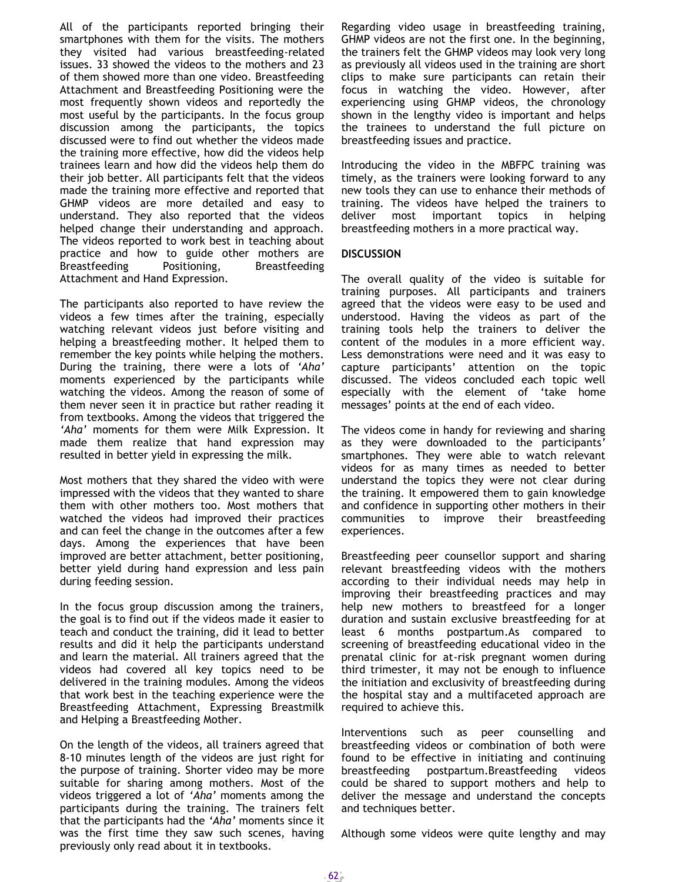All of the participants reported bringing their smartphones with them for the visits. The mothers they visited had various breastfeeding-related issues. 33 showed the videos to the mothers and 23 of them showed more than one video. Breastfeeding Attachment and Breastfeeding Positioning were the most frequently shown videos and reportedly the most useful by the participants. In the focus group discussion among the participants, the topics discussed were to find out whether the videos made the training more effective, how did the videos help trainees learn and how did the videos help them do their job better. All participants felt that the videos made the training more effective and reported that GHMP videos are more detailed and easy to understand. They also reported that the videos helped change their understanding and approach. The videos reported to work best in teaching about practice and how to guide other mothers are Breastfeeding Positioning, Breastfeeding Attachment and Hand Expression.

The participants also reported to have review the videos a few times after the training, especially watching relevant videos just before visiting and helping a breastfeeding mother. It helped them to remember the key points while helping the mothers. During the training, there were a lots of *'Aha'* moments experienced by the participants while watching the videos. Among the reason of some of them never seen it in practice but rather reading it from textbooks. Among the videos that triggered the *'Aha'* moments for them were Milk Expression. It made them realize that hand expression may resulted in better yield in expressing the milk.

Most mothers that they shared the video with were impressed with the videos that they wanted to share them with other mothers too. Most mothers that watched the videos had improved their practices and can feel the change in the outcomes after a few days. Among the experiences that have been improved are better attachment, better positioning, better yield during hand expression and less pain during feeding session.

In the focus group discussion among the trainers, the goal is to find out if the videos made it easier to teach and conduct the training, did it lead to better results and did it help the participants understand and learn the material. All trainers agreed that the videos had covered all key topics need to be delivered in the training modules. Among the videos that work best in the teaching experience were the Breastfeeding Attachment, Expressing Breastmilk and Helping a Breastfeeding Mother.

On the length of the videos, all trainers agreed that 8-10 minutes length of the videos are just right for the purpose of training. Shorter video may be more suitable for sharing among mothers. Most of the videos triggered a lot of *'Aha'* moments among the participants during the training. The trainers felt that the participants had the *'Aha'* moments since it was the first time they saw such scenes, having previously only read about it in textbooks.

Regarding video usage in breastfeeding training, GHMP videos are not the first one. In the beginning, the trainers felt the GHMP videos may look very long as previously all videos used in the training are short clips to make sure participants can retain their focus in watching the video. However, after experiencing using GHMP videos, the chronology shown in the lengthy video is important and helps the trainees to understand the full picture on breastfeeding issues and practice.

Introducing the video in the MBFPC training was timely, as the trainers were looking forward to any new tools they can use to enhance their methods of training. The videos have helped the trainers to deliver most important topics in helping breastfeeding mothers in a more practical way.

## **DISCUSSION**

The overall quality of the video is suitable for training purposes. All participants and trainers agreed that the videos were easy to be used and understood. Having the videos as part of the training tools help the trainers to deliver the content of the modules in a more efficient way. Less demonstrations were need and it was easy to capture participants' attention on the topic discussed. The videos concluded each topic well especially with the element of 'take home messages' points at the end of each video.

The videos come in handy for reviewing and sharing as they were downloaded to the participants' smartphones. They were able to watch relevant videos for as many times as needed to better understand the topics they were not clear during the training. It empowered them to gain knowledge and confidence in supporting other mothers in their communities to improve their breastfeeding experiences.

Breastfeeding peer counsellor support and sharing relevant breastfeeding videos with the mothers according to their individual needs may help in improving their breastfeeding practices and may help new mothers to breastfeed for a longer duration and sustain exclusive breastfeeding for at least 6 months postpartum.As compared to screening of breastfeeding educational video in the prenatal clinic for at-risk pregnant women during third trimester, it may not be enough to influence the initiation and exclusivity of breastfeeding during the hospital stay and a multifaceted approach are required to achieve this.

Interventions such as peer counselling and breastfeeding videos or combination of both were found to be effective in initiating and continuing breastfeeding postpartum.Breastfeeding videos could be shared to support mothers and help to deliver the message and understand the concepts and techniques better.

Although some videos were quite lengthy and may